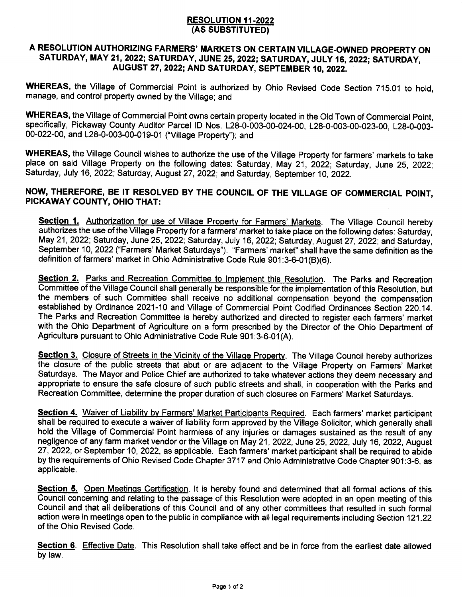## RESOLUTION 11.2022 (AS SUBSTITUTED)

## A RESOLUTION AUTHORIZING FARMERS' MARKETS ON CERTAIN VILLAGE-OWNED PROPERTY ON SATURDAY, MAY 21, 2022; SATURDAY, JUNE 25, 2022; SATURDAY, JULY 16, 2022; SATURDAY, AUGUST 27,2022; AND SATURDAY, SEPTEMBER i0, 2022.

WHEREAS, the Village of Commercial Point is authorized by Ohio Revised Code Section 715.01 to hold, manage, and control property owned by the Village; and

WHEREAS, the Village of Commercial Point owns certain property located in the Old Town of Commercial Point, specifically, Pickaway County Auditor Parcel lD Nos. 128-0-003-00-024-00, 128-O-OO3-OO-023-OO, L2B-O-003- 00-022-00, and 128-0-003-00-019-01 ("Village Property"); and

WHEREAS, the Village Council wishes to authorize the use of the Village Property for farmers' markets to take place on said Village Property on the following dates: Saturday, May 21, 2022; Saturday, June 25, 2022; Saturday, July 16, 2022; Saturday, August 27, 2022; and Saturday, September 10, 2022.

## NOW, THEREFORE, BE IT RESOLVED BY THE COUNCIL OF THE VILLAGE OF COMMERCIAL POINT, PICKAWAY COUNTY, OHIO THAT:

Section 1. Authorization for use of Village Property for Farmers' Markets. The Village Council hereby authorizes the use of the Village Property for a farmers' market to take place on the following dates: Saturday, May21,2022; Saturday, June 25, 2022; Saturday, July 16, 2022; Saturday, August 27,2022; and Saturday, September 10,2022 ("Farmers' Market Saturdays"). "Farmers' market" shall have the same definition as the definition of farmers' market in Ohio Administrative Code Rule 901:3-6-01(B)(6).

Section 2. Parks and Recreation Committee to Implement this Resolution. The Parks and Recreation Committee of the Village Council shall generally be responsible forthe implementation of this Resolution, but the members of such Committee shall receive no additional compensation beyond the compensation established by Ordinance 2021-10 and Village of Commercial Point Codified Ordinances Section 220.14. The Parks and Recreation Committee is hereby authorized and directed to register each farmers' market with the Ohio Department of Agriculture on a form prescribed by the Director of the Ohio Department of Agriculture pursuant to Ohio Administrative Code Rule 901:3-6-01(A).

Section 3. Closure of Streets in the Vicinity of the Village Property. The Village Council hereby authorizes the closure of the public streets that abut or are adjacent to the Village Property on Farmers' Market Saturdays. The Mayor and Police Chief are authorized to take whatever actions they deem necessary and appropriate to ensure the safe closure of such public streets and shall, in cooperation with the Parks and Recreation Committee, determine the proper duration of such closures on Farmers' Market Saturdays.

Section 4. Waiver of Liability by Farmers' Market Participants Required. Each farmers' market participant shall be required to execute a waiver of liability form approved by the Village Solicitor, which generally shall hold the Village of Commercial Point harmless of any injuries or damages sustained as the result of any negligence of any farm market vendor or the Village on May 21, 2022, June 25, 2022, July 16, 2022, August <sup>27</sup>, 2022, or September 10, 2022, as applicable. Each farmers' market participant shall be required to abide by the requirements of Ohio Revised Code Chapter 3717 and Ohio Administrative Code Chapter 901:3-6, as applicable,

Section 5. Open Meetings Certification. It is hereby found and determined that all formal actions of this Council concerning and relating to the passage of this Resolution were adopted in an open meeting of this Council and that all deliberations of this Council and of any other committees that resulted in such formal action were in meetings open to the public in compliance with all legal requirements including Section 121.22 of the Ohio Revised Code.

Section 6. Effective Date. This Resolution shall take effect and be in force from the earliest date allowed by law.